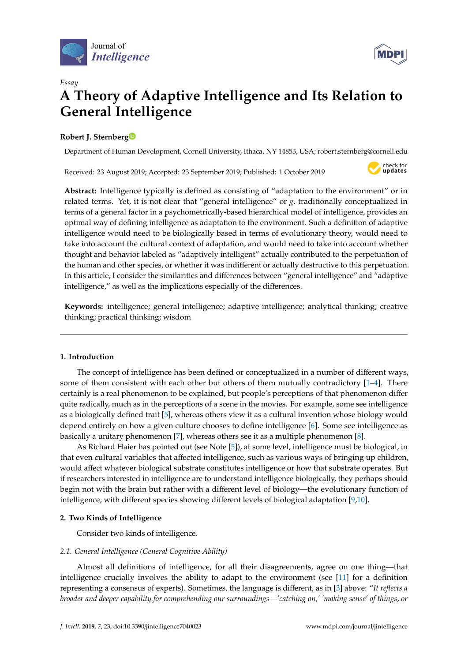



# *Essay* **A Theory of Adaptive Intelligence and Its Relation to General Intelligence**

# **Robert J. Sternber[g](https://orcid.org/0000-0001-7191-5169)**

Department of Human Development, Cornell University, Ithaca, NY 14853, USA; robert.sternberg@cornell.edu

Received: 23 August 2019; Accepted: 23 September 2019; Published: 1 October 2019



**Abstract:** Intelligence typically is defined as consisting of "adaptation to the environment" or in related terms. Yet, it is not clear that "general intelligence" or *g,* traditionally conceptualized in terms of a general factor in a psychometrically-based hierarchical model of intelligence, provides an optimal way of defining intelligence as adaptation to the environment. Such a definition of adaptive intelligence would need to be biologically based in terms of evolutionary theory, would need to take into account the cultural context of adaptation, and would need to take into account whether thought and behavior labeled as "adaptively intelligent" actually contributed to the perpetuation of the human and other species, or whether it was indifferent or actually destructive to this perpetuation. In this article, I consider the similarities and differences between "general intelligence" and "adaptive intelligence," as well as the implications especially of the differences.

**Keywords:** intelligence; general intelligence; adaptive intelligence; analytical thinking; creative thinking; practical thinking; wisdom

# **1. Introduction**

The concept of intelligence has been defined or conceptualized in a number of different ways, some of them consistent with each other but others of them mutually contradictory  $[1-4]$  $[1-4]$ . There certainly is a real phenomenon to be explained, but people's perceptions of that phenomenon differ quite radically, much as in the perceptions of a scene in the movies. For example, some see intelligence as a biologically defined trait [\[5\]](#page-12-2), whereas others view it as a cultural invention whose biology would depend entirely on how a given culture chooses to define intelligence [\[6\]](#page-12-3). Some see intelligence as basically a unitary phenomenon [\[7\]](#page-12-4), whereas others see it as a multiple phenomenon [\[8\]](#page-12-5).

As Richard Haier has pointed out (see Note [\[5\]](#page-12-2)), at some level, intelligence must be biological, in that even cultural variables that affected intelligence, such as various ways of bringing up children, would affect whatever biological substrate constitutes intelligence or how that substrate operates. But if researchers interested in intelligence are to understand intelligence biologically, they perhaps should begin not with the brain but rather with a different level of biology—the evolutionary function of intelligence, with different species showing different levels of biological adaptation [\[9](#page-12-6)[,10\]](#page-12-7).

# **2. Two Kinds of Intelligence**

Consider two kinds of intelligence.

# *2.1. General Intelligence (General Cognitive Ability)*

Almost all definitions of intelligence, for all their disagreements, agree on one thing—that intelligence crucially involves the ability to adapt to the environment (see [\[11\]](#page-12-8) for a definition representing a consensus of experts). Sometimes, the language is different, as in [\[3\]](#page-12-9) above: "*It reflects a broader and deeper capability for comprehending our surroundings—'catching on,' 'making sense' of things, or*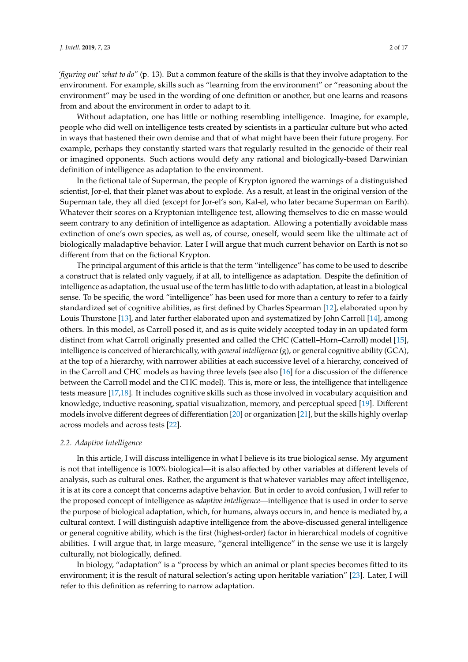*'figuring out' what to do*" (p. 13). But a common feature of the skills is that they involve adaptation to the environment. For example, skills such as "learning from the environment" or "reasoning about the environment" may be used in the wording of one definition or another, but one learns and reasons from and about the environment in order to adapt to it.

Without adaptation, one has little or nothing resembling intelligence. Imagine, for example, people who did well on intelligence tests created by scientists in a particular culture but who acted in ways that hastened their own demise and that of what might have been their future progeny. For example, perhaps they constantly started wars that regularly resulted in the genocide of their real or imagined opponents. Such actions would defy any rational and biologically-based Darwinian definition of intelligence as adaptation to the environment.

In the fictional tale of Superman, the people of Krypton ignored the warnings of a distinguished scientist, Jor-el, that their planet was about to explode. As a result, at least in the original version of the Superman tale, they all died (except for Jor-el's son, Kal-el, who later became Superman on Earth). Whatever their scores on a Kryptonian intelligence test, allowing themselves to die en masse would seem contrary to any definition of intelligence as adaptation. Allowing a potentially avoidable mass extinction of one's own species, as well as, of course, oneself, would seem like the ultimate act of biologically maladaptive behavior. Later I will argue that much current behavior on Earth is not so different from that on the fictional Krypton.

The principal argument of this article is that the term "intelligence" has come to be used to describe a construct that is related only vaguely, if at all, to intelligence as adaptation. Despite the definition of intelligence as adaptation, the usual use of the term has little to do with adaptation, at least in a biological sense. To be specific, the word "intelligence" has been used for more than a century to refer to a fairly standardized set of cognitive abilities, as first defined by Charles Spearman [\[12\]](#page-12-10), elaborated upon by Louis Thurstone [\[13\]](#page-12-11), and later further elaborated upon and systematized by John Carroll [\[14\]](#page-12-12), among others. In this model, as Carroll posed it, and as is quite widely accepted today in an updated form distinct from what Carroll originally presented and called the CHC (Cattell–Horn–Carroll) model [\[15\]](#page-12-13), intelligence is conceived of hierarchically, with *general intelligence* (g), or general cognitive ability (GCA), at the top of a hierarchy, with narrower abilities at each successive level of a hierarchy, conceived of in the Carroll and CHC models as having three levels (see also [\[16\]](#page-12-14) for a discussion of the difference between the Carroll model and the CHC model). This is, more or less, the intelligence that intelligence tests measure [\[17,](#page-12-15)[18\]](#page-12-16). It includes cognitive skills such as those involved in vocabulary acquisition and knowledge, inductive reasoning, spatial visualization, memory, and perceptual speed [\[19\]](#page-12-17). Different models involve different degrees of differentiation [\[20\]](#page-12-18) or organization [\[21\]](#page-12-19), but the skills highly overlap across models and across tests [\[22\]](#page-12-20).

## *2.2. Adaptive Intelligence*

In this article, I will discuss intelligence in what I believe is its true biological sense. My argument is not that intelligence is 100% biological—it is also affected by other variables at different levels of analysis, such as cultural ones. Rather, the argument is that whatever variables may affect intelligence, it is at its core a concept that concerns adaptive behavior. But in order to avoid confusion, I will refer to the proposed concept of intelligence as *adaptive intelligence*—intelligence that is used in order to serve the purpose of biological adaptation, which, for humans, always occurs in, and hence is mediated by, a cultural context. I will distinguish adaptive intelligence from the above-discussed general intelligence or general cognitive ability, which is the first (highest-order) factor in hierarchical models of cognitive abilities. I will argue that, in large measure, "general intelligence" in the sense we use it is largely culturally, not biologically, defined.

In biology, "adaptation" is a "process by which an animal or plant species becomes fitted to its environment; it is the result of natural selection's acting upon heritable variation" [\[23\]](#page-13-0). Later, I will refer to this definition as referring to narrow adaptation.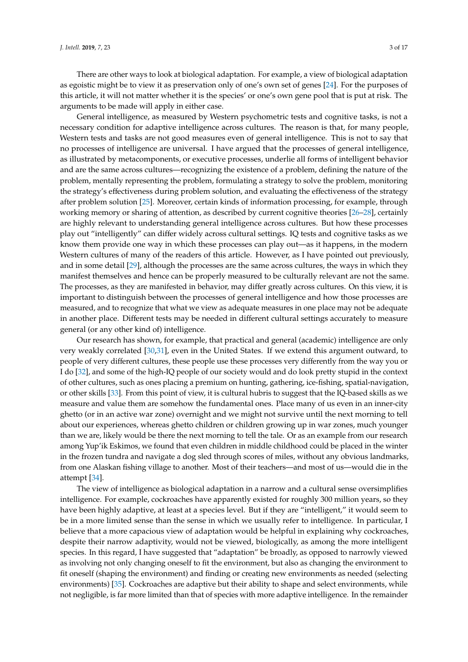There are other ways to look at biological adaptation. For example, a view of biological adaptation as egoistic might be to view it as preservation only of one's own set of genes [\[24\]](#page-13-1). For the purposes of this article, it will not matter whether it is the species' or one's own gene pool that is put at risk. The arguments to be made will apply in either case.

General intelligence, as measured by Western psychometric tests and cognitive tasks, is not a necessary condition for adaptive intelligence across cultures. The reason is that, for many people, Western tests and tasks are not good measures even of general intelligence. This is not to say that no processes of intelligence are universal. I have argued that the processes of general intelligence, as illustrated by metacomponents, or executive processes, underlie all forms of intelligent behavior and are the same across cultures—recognizing the existence of a problem, defining the nature of the problem, mentally representing the problem, formulating a strategy to solve the problem, monitoring the strategy's effectiveness during problem solution, and evaluating the effectiveness of the strategy after problem solution [\[25\]](#page-13-2). Moreover, certain kinds of information processing, for example, through working memory or sharing of attention, as described by current cognitive theories [\[26](#page-13-3)[–28\]](#page-13-4), certainly are highly relevant to understanding general intelligence across cultures. But how these processes play out "intelligently" can differ widely across cultural settings. IQ tests and cognitive tasks as we know them provide one way in which these processes can play out—as it happens, in the modern Western cultures of many of the readers of this article. However, as I have pointed out previously, and in some detail [\[29\]](#page-13-5), although the processes are the same across cultures, the ways in which they manifest themselves and hence can be properly measured to be culturally relevant are not the same. The processes, as they are manifested in behavior, may differ greatly across cultures. On this view, it is important to distinguish between the processes of general intelligence and how those processes are measured, and to recognize that what we view as adequate measures in one place may not be adequate in another place. Different tests may be needed in different cultural settings accurately to measure general (or any other kind of) intelligence.

Our research has shown, for example, that practical and general (academic) intelligence are only very weakly correlated [\[30](#page-13-6)[,31\]](#page-13-7), even in the United States. If we extend this argument outward, to people of very different cultures, these people use these processes very differently from the way you or I do [\[32\]](#page-13-8), and some of the high-IQ people of our society would and do look pretty stupid in the context of other cultures, such as ones placing a premium on hunting, gathering, ice-fishing, spatial-navigation, or other skills [\[33\]](#page-13-9). From this point of view, it is cultural hubris to suggest that the IQ-based skills as we measure and value them are somehow the fundamental ones. Place many of us even in an inner-city ghetto (or in an active war zone) overnight and we might not survive until the next morning to tell about our experiences, whereas ghetto children or children growing up in war zones, much younger than we are, likely would be there the next morning to tell the tale. Or as an example from our research among Yup'ik Eskimos, we found that even children in middle childhood could be placed in the winter in the frozen tundra and navigate a dog sled through scores of miles, without any obvious landmarks, from one Alaskan fishing village to another. Most of their teachers—and most of us—would die in the attempt [\[34\]](#page-13-10).

The view of intelligence as biological adaptation in a narrow and a cultural sense oversimplifies intelligence. For example, cockroaches have apparently existed for roughly 300 million years, so they have been highly adaptive, at least at a species level. But if they are "intelligent," it would seem to be in a more limited sense than the sense in which we usually refer to intelligence. In particular, I believe that a more capacious view of adaptation would be helpful in explaining why cockroaches, despite their narrow adaptivity, would not be viewed, biologically, as among the more intelligent species. In this regard, I have suggested that "adaptation" be broadly, as opposed to narrowly viewed as involving not only changing oneself to fit the environment, but also as changing the environment to fit oneself (shaping the environment) and finding or creating new environments as needed (selecting environments) [\[35\]](#page-13-11). Cockroaches are adaptive but their ability to shape and select environments, while not negligible, is far more limited than that of species with more adaptive intelligence. In the remainder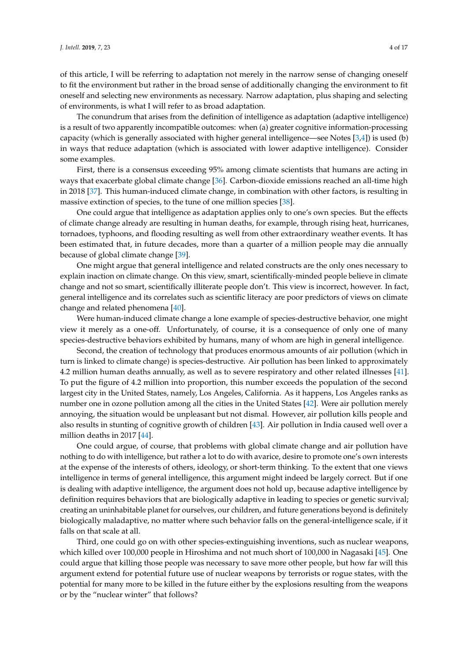The conundrum that arises from the definition of intelligence as adaptation (adaptive intelligence) is a result of two apparently incompatible outcomes: when (a) greater cognitive information-processing capacity (which is generally associated with higher general intelligence—see Notes  $[3,4]$  $[3,4]$ ) is used (b) in ways that reduce adaptation (which is associated with lower adaptive intelligence). Consider some examples.

First, there is a consensus exceeding 95% among climate scientists that humans are acting in ways that exacerbate global climate change [\[36\]](#page-13-12). Carbon-dioxide emissions reached an all-time high in 2018 [\[37\]](#page-13-13). This human-induced climate change, in combination with other factors, is resulting in massive extinction of species, to the tune of one million species [\[38\]](#page-13-14).

One could argue that intelligence as adaptation applies only to one's own species. But the effects of climate change already are resulting in human deaths, for example, through rising heat, hurricanes, tornadoes, typhoons, and flooding resulting as well from other extraordinary weather events. It has been estimated that, in future decades, more than a quarter of a million people may die annually because of global climate change [\[39\]](#page-13-15).

One might argue that general intelligence and related constructs are the only ones necessary to explain inaction on climate change. On this view, smart, scientifically-minded people believe in climate change and not so smart, scientifically illiterate people don't. This view is incorrect, however. In fact, general intelligence and its correlates such as scientific literacy are poor predictors of views on climate change and related phenomena [\[40\]](#page-13-16).

Were human-induced climate change a lone example of species-destructive behavior, one might view it merely as a one-off. Unfortunately, of course, it is a consequence of only one of many species-destructive behaviors exhibited by humans, many of whom are high in general intelligence.

Second, the creation of technology that produces enormous amounts of air pollution (which in turn is linked to climate change) is species-destructive. Air pollution has been linked to approximately 4.2 million human deaths annually, as well as to severe respiratory and other related illnesses [\[41\]](#page-13-17). To put the figure of 4.2 million into proportion, this number exceeds the population of the second largest city in the United States, namely, Los Angeles, California. As it happens, Los Angeles ranks as number one in ozone pollution among all the cities in the United States [\[42\]](#page-13-18). Were air pollution merely annoying, the situation would be unpleasant but not dismal. However, air pollution kills people and also results in stunting of cognitive growth of children [\[43\]](#page-13-19). Air pollution in India caused well over a million deaths in 2017 [\[44\]](#page-13-20).

One could argue, of course, that problems with global climate change and air pollution have nothing to do with intelligence, but rather a lot to do with avarice, desire to promote one's own interests at the expense of the interests of others, ideology, or short-term thinking. To the extent that one views intelligence in terms of general intelligence, this argument might indeed be largely correct. But if one is dealing with adaptive intelligence, the argument does not hold up, because adaptive intelligence by definition requires behaviors that are biologically adaptive in leading to species or genetic survival; creating an uninhabitable planet for ourselves, our children, and future generations beyond is definitely biologically maladaptive, no matter where such behavior falls on the general-intelligence scale, if it falls on that scale at all.

Third, one could go on with other species-extinguishing inventions, such as nuclear weapons, which killed over 100,000 people in Hiroshima and not much short of 100,000 in Nagasaki [\[45\]](#page-13-21). One could argue that killing those people was necessary to save more other people, but how far will this argument extend for potential future use of nuclear weapons by terrorists or rogue states, with the potential for many more to be killed in the future either by the explosions resulting from the weapons or by the "nuclear winter" that follows?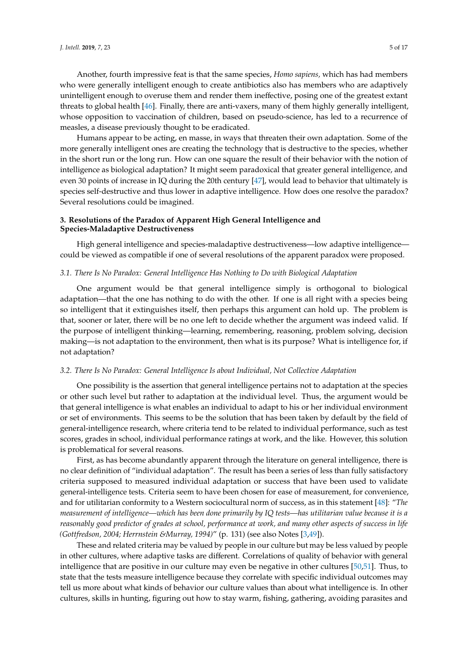Another, fourth impressive feat is that the same species, *Homo sapiens,* which has had members who were generally intelligent enough to create antibiotics also has members who are adaptively unintelligent enough to overuse them and render them ineffective, posing one of the greatest extant threats to global health [\[46\]](#page-13-22). Finally, there are anti-vaxers, many of them highly generally intelligent, whose opposition to vaccination of children, based on pseudo-science, has led to a recurrence of measles, a disease previously thought to be eradicated.

Humans appear to be acting, en masse, in ways that threaten their own adaptation. Some of the more generally intelligent ones are creating the technology that is destructive to the species, whether in the short run or the long run. How can one square the result of their behavior with the notion of intelligence as biological adaptation? It might seem paradoxical that greater general intelligence, and even 30 points of increase in IQ during the 20th century [\[47\]](#page-14-0), would lead to behavior that ultimately is species self-destructive and thus lower in adaptive intelligence. How does one resolve the paradox? Several resolutions could be imagined.

# **3. Resolutions of the Paradox of Apparent High General Intelligence and Species-Maladaptive Destructiveness**

High general intelligence and species-maladaptive destructiveness—low adaptive intelligence could be viewed as compatible if one of several resolutions of the apparent paradox were proposed.

#### *3.1. There Is No Paradox: General Intelligence Has Nothing to Do with Biological Adaptation*

One argument would be that general intelligence simply is orthogonal to biological adaptation—that the one has nothing to do with the other. If one is all right with a species being so intelligent that it extinguishes itself, then perhaps this argument can hold up. The problem is that, sooner or later, there will be no one left to decide whether the argument was indeed valid. If the purpose of intelligent thinking—learning, remembering, reasoning, problem solving, decision making—is not adaptation to the environment, then what is its purpose? What is intelligence for, if not adaptation?

## *3.2. There Is No Paradox: General Intelligence Is about Individual, Not Collective Adaptation*

One possibility is the assertion that general intelligence pertains not to adaptation at the species or other such level but rather to adaptation at the individual level. Thus, the argument would be that general intelligence is what enables an individual to adapt to his or her individual environment or set of environments. This seems to be the solution that has been taken by default by the field of general-intelligence research, where criteria tend to be related to individual performance, such as test scores, grades in school, individual performance ratings at work, and the like. However, this solution is problematical for several reasons.

First, as has become abundantly apparent through the literature on general intelligence, there is no clear definition of "individual adaptation". The result has been a series of less than fully satisfactory criteria supposed to measured individual adaptation or success that have been used to validate general-intelligence tests. Criteria seem to have been chosen for ease of measurement, for convenience, and for utilitarian conformity to a Western sociocultural norm of success, as in this statement [\[48\]](#page-14-1): "*The measurement of intelligence—which has been done primarily by IQ tests—has utilitarian value because it is a reasonably good predictor of grades at school, performance at work, and many other aspects of success in life (Gottfredson, 2004; Herrnstein &Murray, 1994)*" (p. 131) (see also Notes [\[3](#page-12-9)[,49\]](#page-14-2)).

These and related criteria may be valued by people in our culture but may be less valued by people in other cultures, where adaptive tasks are different. Correlations of quality of behavior with general intelligence that are positive in our culture may even be negative in other cultures [\[50](#page-14-3)[,51\]](#page-14-4). Thus, to state that the tests measure intelligence because they correlate with specific individual outcomes may tell us more about what kinds of behavior our culture values than about what intelligence is. In other cultures, skills in hunting, figuring out how to stay warm, fishing, gathering, avoiding parasites and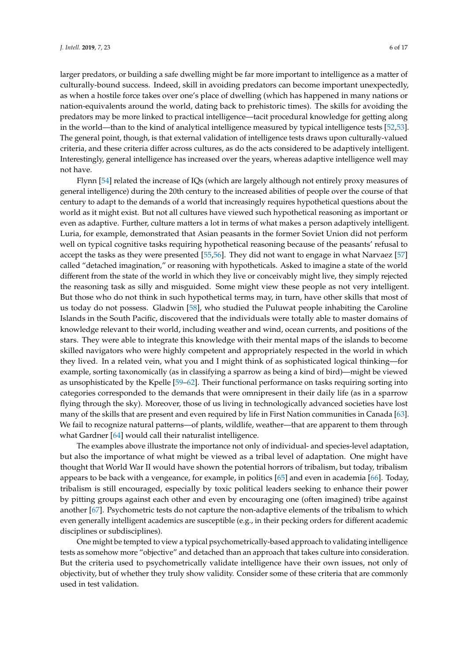larger predators, or building a safe dwelling might be far more important to intelligence as a matter of culturally-bound success. Indeed, skill in avoiding predators can become important unexpectedly, as when a hostile force takes over one's place of dwelling (which has happened in many nations or nation-equivalents around the world, dating back to prehistoric times). The skills for avoiding the predators may be more linked to practical intelligence—tacit procedural knowledge for getting along in the world—than to the kind of analytical intelligence measured by typical intelligence tests [\[52,](#page-14-5)[53\]](#page-14-6). The general point, though, is that external validation of intelligence tests draws upon culturally-valued criteria, and these criteria differ across cultures, as do the acts considered to be adaptively intelligent. Interestingly, general intelligence has increased over the years, whereas adaptive intelligence well may not have.

Flynn [\[54\]](#page-14-7) related the increase of IQs (which are largely although not entirely proxy measures of general intelligence) during the 20th century to the increased abilities of people over the course of that century to adapt to the demands of a world that increasingly requires hypothetical questions about the world as it might exist. But not all cultures have viewed such hypothetical reasoning as important or even as adaptive. Further, culture matters a lot in terms of what makes a person adaptively intelligent. Luria, for example, demonstrated that Asian peasants in the former Soviet Union did not perform well on typical cognitive tasks requiring hypothetical reasoning because of the peasants' refusal to accept the tasks as they were presented [\[55,](#page-14-8)[56\]](#page-14-9). They did not want to engage in what Narvaez [\[57\]](#page-14-10) called "detached imagination," or reasoning with hypotheticals. Asked to imagine a state of the world different from the state of the world in which they live or conceivably might live, they simply rejected the reasoning task as silly and misguided. Some might view these people as not very intelligent. But those who do not think in such hypothetical terms may, in turn, have other skills that most of us today do not possess. Gladwin [\[58\]](#page-14-11), who studied the Puluwat people inhabiting the Caroline Islands in the South Pacific, discovered that the individuals were totally able to master domains of knowledge relevant to their world, including weather and wind, ocean currents, and positions of the stars. They were able to integrate this knowledge with their mental maps of the islands to become skilled navigators who were highly competent and appropriately respected in the world in which they lived. In a related vein, what you and I might think of as sophisticated logical thinking—for example, sorting taxonomically (as in classifying a sparrow as being a kind of bird)—might be viewed as unsophisticated by the Kpelle [\[59](#page-14-12)[–62\]](#page-14-13). Their functional performance on tasks requiring sorting into categories corresponded to the demands that were omnipresent in their daily life (as in a sparrow flying through the sky). Moreover, those of us living in technologically advanced societies have lost many of the skills that are present and even required by life in First Nation communities in Canada [\[63\]](#page-14-14). We fail to recognize natural patterns—of plants, wildlife, weather—that are apparent to them through what Gardner [\[64\]](#page-14-15) would call their naturalist intelligence.

The examples above illustrate the importance not only of individual- and species-level adaptation, but also the importance of what might be viewed as a tribal level of adaptation. One might have thought that World War II would have shown the potential horrors of tribalism, but today, tribalism appears to be back with a vengeance, for example, in politics [\[65\]](#page-14-16) and even in academia [\[66\]](#page-14-17). Today, tribalism is still encouraged, especially by toxic political leaders seeking to enhance their power by pitting groups against each other and even by encouraging one (often imagined) tribe against another [\[67\]](#page-14-18). Psychometric tests do not capture the non-adaptive elements of the tribalism to which even generally intelligent academics are susceptible (e.g., in their pecking orders for different academic disciplines or subdisciplines).

One might be tempted to view a typical psychometrically-based approach to validating intelligence tests as somehow more "objective" and detached than an approach that takes culture into consideration. But the criteria used to psychometrically validate intelligence have their own issues, not only of objectivity, but of whether they truly show validity. Consider some of these criteria that are commonly used in test validation.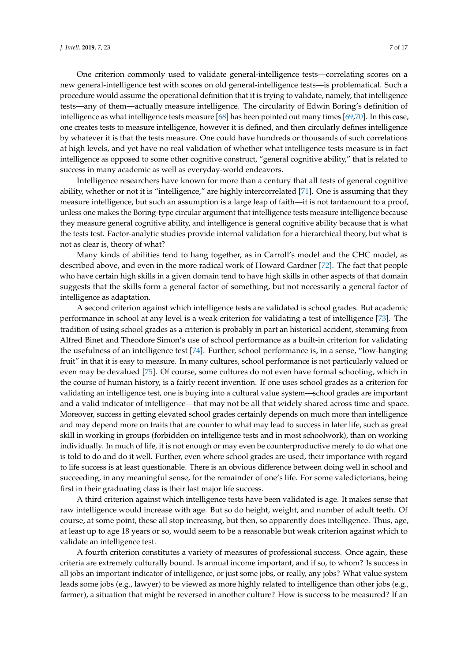One criterion commonly used to validate general-intelligence tests—correlating scores on a new general-intelligence test with scores on old general-intelligence tests—is problematical. Such a procedure would assume the operational definition that it is trying to validate, namely, that intelligence tests—any of them—actually measure intelligence. The circularity of Edwin Boring's definition of intelligence as what intelligence tests measure [\[68\]](#page-14-19) has been pointed out many times [\[69](#page-14-20)[,70\]](#page-14-21). In this case, one creates tests to measure intelligence, however it is defined, and then circularly defines intelligence by whatever it is that the tests measure. One could have hundreds or thousands of such correlations at high levels, and yet have no real validation of whether what intelligence tests measure is in fact intelligence as opposed to some other cognitive construct, "general cognitive ability," that is related to success in many academic as well as everyday-world endeavors.

Intelligence researchers have known for more than a century that all tests of general cognitive ability, whether or not it is "intelligence," are highly intercorrelated [\[71\]](#page-14-22). One is assuming that they measure intelligence, but such an assumption is a large leap of faith—it is not tantamount to a proof, unless one makes the Boring-type circular argument that intelligence tests measure intelligence because they measure general cognitive ability, and intelligence is general cognitive ability because that is what the tests test. Factor-analytic studies provide internal validation for a hierarchical theory, but what is not as clear is, theory of what?

Many kinds of abilities tend to hang together, as in Carroll's model and the CHC model, as described above, and even in the more radical work of Howard Gardner [\[72\]](#page-14-23). The fact that people who have certain high skills in a given domain tend to have high skills in other aspects of that domain suggests that the skills form a general factor of something, but not necessarily a general factor of intelligence as adaptation.

A second criterion against which intelligence tests are validated is school grades. But academic performance in school at any level is a weak criterion for validating a test of intelligence [\[73\]](#page-14-24). The tradition of using school grades as a criterion is probably in part an historical accident, stemming from Alfred Binet and Theodore Simon's use of school performance as a built-in criterion for validating the usefulness of an intelligence test [\[74\]](#page-14-25). Further, school performance is, in a sense, "low-hanging fruit" in that it is easy to measure. In many cultures, school performance is not particularly valued or even may be devalued [\[75\]](#page-14-26). Of course, some cultures do not even have formal schooling, which in the course of human history, is a fairly recent invention. If one uses school grades as a criterion for validating an intelligence test, one is buying into a cultural value system—school grades are important and a valid indicator of intelligence—that may not be all that widely shared across time and space. Moreover, success in getting elevated school grades certainly depends on much more than intelligence and may depend more on traits that are counter to what may lead to success in later life, such as great skill in working in groups (forbidden on intelligence tests and in most schoolwork), than on working individually. In much of life, it is not enough or may even be counterproductive merely to do what one is told to do and do it well. Further, even where school grades are used, their importance with regard to life success is at least questionable. There is an obvious difference between doing well in school and succeeding, in any meaningful sense, for the remainder of one's life. For some valedictorians, being first in their graduating class is their last major life success.

A third criterion against which intelligence tests have been validated is age. It makes sense that raw intelligence would increase with age. But so do height, weight, and number of adult teeth. Of course, at some point, these all stop increasing, but then, so apparently does intelligence. Thus, age, at least up to age 18 years or so, would seem to be a reasonable but weak criterion against which to validate an intelligence test.

A fourth criterion constitutes a variety of measures of professional success. Once again, these criteria are extremely culturally bound. Is annual income important, and if so, to whom? Is success in all jobs an important indicator of intelligence, or just some jobs, or really, any jobs? What value system leads some jobs (e.g., lawyer) to be viewed as more highly related to intelligence than other jobs (e.g., farmer), a situation that might be reversed in another culture? How is success to be measured? If an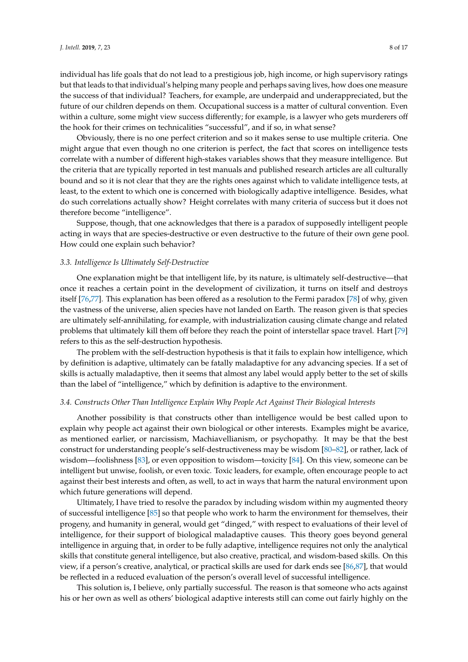individual has life goals that do not lead to a prestigious job, high income, or high supervisory ratings but that leads to that individual's helping many people and perhaps saving lives, how does one measure the success of that individual? Teachers, for example, are underpaid and underappreciated, but the future of our children depends on them. Occupational success is a matter of cultural convention. Even within a culture, some might view success differently; for example, is a lawyer who gets murderers off the hook for their crimes on technicalities "successful", and if so, in what sense?

Obviously, there is no one perfect criterion and so it makes sense to use multiple criteria. One might argue that even though no one criterion is perfect, the fact that scores on intelligence tests correlate with a number of different high-stakes variables shows that they measure intelligence. But the criteria that are typically reported in test manuals and published research articles are all culturally bound and so it is not clear that they are the rights ones against which to validate intelligence tests, at least, to the extent to which one is concerned with biologically adaptive intelligence. Besides, what do such correlations actually show? Height correlates with many criteria of success but it does not therefore become "intelligence".

Suppose, though, that one acknowledges that there is a paradox of supposedly intelligent people acting in ways that are species-destructive or even destructive to the future of their own gene pool. How could one explain such behavior?

### *3.3. Intelligence Is Ultimately Self-Destructive*

One explanation might be that intelligent life, by its nature, is ultimately self-destructive—that once it reaches a certain point in the development of civilization, it turns on itself and destroys itself [\[76,](#page-14-27)[77\]](#page-14-28). This explanation has been offered as a resolution to the Fermi paradox [\[78\]](#page-14-29) of why, given the vastness of the universe, alien species have not landed on Earth. The reason given is that species are ultimately self-annihilating, for example, with industrialization causing climate change and related problems that ultimately kill them off before they reach the point of interstellar space travel. Hart [\[79\]](#page-14-30) refers to this as the self-destruction hypothesis.

The problem with the self-destruction hypothesis is that it fails to explain how intelligence, which by definition is adaptive, ultimately can be fatally maladaptive for any advancing species. If a set of skills is actually maladaptive, then it seems that almost any label would apply better to the set of skills than the label of "intelligence," which by definition is adaptive to the environment.

### *3.4. Constructs Other Than Intelligence Explain Why People Act Against Their Biological Interests*

Another possibility is that constructs other than intelligence would be best called upon to explain why people act against their own biological or other interests. Examples might be avarice, as mentioned earlier, or narcissism, Machiavellianism, or psychopathy. It may be that the best construct for understanding people's self-destructiveness may be wisdom [\[80](#page-14-31)[–82\]](#page-15-0), or rather, lack of wisdom—foolishness [\[83\]](#page-15-1), or even opposition to wisdom—toxicity [\[84\]](#page-15-2). On this view, someone can be intelligent but unwise, foolish, or even toxic. Toxic leaders, for example, often encourage people to act against their best interests and often, as well, to act in ways that harm the natural environment upon which future generations will depend.

Ultimately, I have tried to resolve the paradox by including wisdom within my augmented theory of successful intelligence [\[85\]](#page-15-3) so that people who work to harm the environment for themselves, their progeny, and humanity in general, would get "dinged," with respect to evaluations of their level of intelligence, for their support of biological maladaptive causes. This theory goes beyond general intelligence in arguing that, in order to be fully adaptive, intelligence requires not only the analytical skills that constitute general intelligence, but also creative, practical, and wisdom-based skills. On this view, if a person's creative, analytical, or practical skills are used for dark ends see [\[86](#page-15-4)[,87\]](#page-15-5), that would be reflected in a reduced evaluation of the person's overall level of successful intelligence.

This solution is, I believe, only partially successful. The reason is that someone who acts against his or her own as well as others' biological adaptive interests still can come out fairly highly on the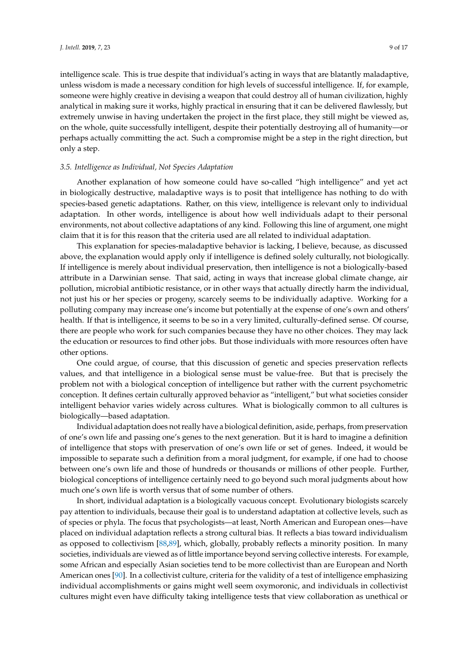intelligence scale. This is true despite that individual's acting in ways that are blatantly maladaptive, unless wisdom is made a necessary condition for high levels of successful intelligence. If, for example, someone were highly creative in devising a weapon that could destroy all of human civilization, highly analytical in making sure it works, highly practical in ensuring that it can be delivered flawlessly, but extremely unwise in having undertaken the project in the first place, they still might be viewed as, on the whole, quite successfully intelligent, despite their potentially destroying all of humanity—or perhaps actually committing the act. Such a compromise might be a step in the right direction, but only a step.

## *3.5. Intelligence as Individual, Not Species Adaptation*

Another explanation of how someone could have so-called "high intelligence" and yet act in biologically destructive, maladaptive ways is to posit that intelligence has nothing to do with species-based genetic adaptations. Rather, on this view, intelligence is relevant only to individual adaptation. In other words, intelligence is about how well individuals adapt to their personal environments, not about collective adaptations of any kind. Following this line of argument, one might claim that it is for this reason that the criteria used are all related to individual adaptation.

This explanation for species-maladaptive behavior is lacking, I believe, because, as discussed above, the explanation would apply only if intelligence is defined solely culturally, not biologically. If intelligence is merely about individual preservation, then intelligence is not a biologically-based attribute in a Darwinian sense. That said, acting in ways that increase global climate change, air pollution, microbial antibiotic resistance, or in other ways that actually directly harm the individual, not just his or her species or progeny, scarcely seems to be individually adaptive. Working for a polluting company may increase one's income but potentially at the expense of one's own and others' health. If that is intelligence, it seems to be so in a very limited, culturally-defined sense. Of course, there are people who work for such companies because they have no other choices. They may lack the education or resources to find other jobs. But those individuals with more resources often have other options.

One could argue, of course, that this discussion of genetic and species preservation reflects values, and that intelligence in a biological sense must be value-free. But that is precisely the problem not with a biological conception of intelligence but rather with the current psychometric conception. It defines certain culturally approved behavior as "intelligent," but what societies consider intelligent behavior varies widely across cultures. What is biologically common to all cultures is biologically—based adaptation.

Individual adaptation does not really have a biological definition, aside, perhaps, from preservation of one's own life and passing one's genes to the next generation. But it is hard to imagine a definition of intelligence that stops with preservation of one's own life or set of genes. Indeed, it would be impossible to separate such a definition from a moral judgment, for example, if one had to choose between one's own life and those of hundreds or thousands or millions of other people. Further, biological conceptions of intelligence certainly need to go beyond such moral judgments about how much one's own life is worth versus that of some number of others.

In short, individual adaptation is a biologically vacuous concept. Evolutionary biologists scarcely pay attention to individuals, because their goal is to understand adaptation at collective levels, such as of species or phyla. The focus that psychologists—at least, North American and European ones—have placed on individual adaptation reflects a strong cultural bias. It reflects a bias toward individualism as opposed to collectivism [\[88](#page-15-6)[,89\]](#page-15-7), which, globally, probably reflects a minority position. In many societies, individuals are viewed as of little importance beyond serving collective interests. For example, some African and especially Asian societies tend to be more collectivist than are European and North American ones [\[90\]](#page-15-8). In a collectivist culture, criteria for the validity of a test of intelligence emphasizing individual accomplishments or gains might well seem oxymoronic, and individuals in collectivist cultures might even have difficulty taking intelligence tests that view collaboration as unethical or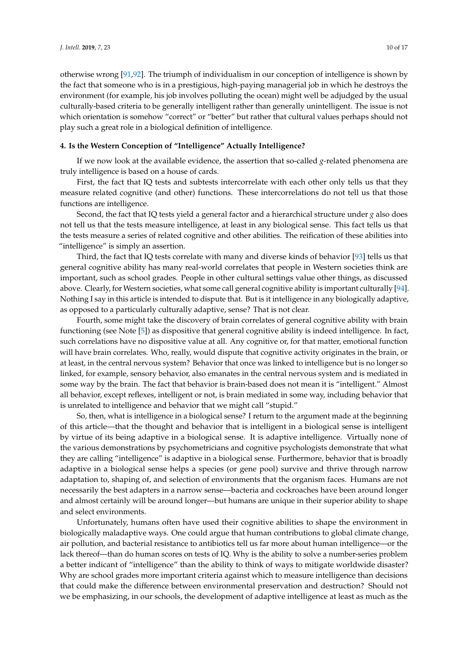otherwise wrong [\[91](#page-15-9)[,92\]](#page-15-10). The triumph of individualism in our conception of intelligence is shown by the fact that someone who is in a prestigious, high-paying managerial job in which he destroys the environment (for example, his job involves polluting the ocean) might well be adjudged by the usual culturally-based criteria to be generally intelligent rather than generally unintelligent. The issue is not which orientation is somehow "correct" or "better" but rather that cultural values perhaps should not play such a great role in a biological definition of intelligence.

## **4. Is the Western Conception of "Intelligence" Actually Intelligence?**

If we now look at the available evidence, the assertion that so-called *g-*related phenomena are truly intelligence is based on a house of cards.

First, the fact that IQ tests and subtests intercorrelate with each other only tells us that they measure related cognitive (and other) functions. These intercorrelations do not tell us that those functions are intelligence.

Second, the fact that IQ tests yield a general factor and a hierarchical structure under *g* also does not tell us that the tests measure intelligence, at least in any biological sense. This fact tells us that the tests measure a series of related cognitive and other abilities. The reification of these abilities into "intelligence" is simply an assertion.

Third, the fact that IQ tests correlate with many and diverse kinds of behavior [\[93\]](#page-15-11) tells us that general cognitive ability has many real-world correlates that people in Western societies think are important, such as school grades. People in other cultural settings value other things, as discussed above. Clearly, for Western societies, what some call general cognitive ability is important culturally [\[94\]](#page-15-12). Nothing I say in this article is intended to dispute that. But is it intelligence in any biologically adaptive, as opposed to a particularly culturally adaptive, sense? That is not clear.

Fourth, some might take the discovery of brain correlates of general cognitive ability with brain functioning (see Note [\[5\]](#page-12-2)) as dispositive that general cognitive ability is indeed intelligence. In fact, such correlations have no dispositive value at all. Any cognitive or, for that matter, emotional function will have brain correlates. Who, really, would dispute that cognitive activity originates in the brain, or at least, in the central nervous system? Behavior that once was linked to intelligence but is no longer so linked, for example, sensory behavior, also emanates in the central nervous system and is mediated in some way by the brain. The fact that behavior is brain-based does not mean it is "intelligent." Almost all behavior, except reflexes, intelligent or not, is brain mediated in some way, including behavior that is unrelated to intelligence and behavior that we might call "stupid."

So, then, what is intelligence in a biological sense? I return to the argument made at the beginning of this article—that the thought and behavior that is intelligent in a biological sense is intelligent by virtue of its being adaptive in a biological sense. It is adaptive intelligence. Virtually none of the various demonstrations by psychometricians and cognitive psychologists demonstrate that what they are calling "intelligence" is adaptive in a biological sense. Furthermore, behavior that is broadly adaptive in a biological sense helps a species (or gene pool) survive and thrive through narrow adaptation to, shaping of, and selection of environments that the organism faces. Humans are not necessarily the best adapters in a narrow sense—bacteria and cockroaches have been around longer and almost certainly will be around longer—but humans are unique in their superior ability to shape and select environments.

Unfortunately, humans often have used their cognitive abilities to shape the environment in biologically maladaptive ways. One could argue that human contributions to global climate change, air pollution, and bacterial resistance to antibiotics tell us far more about human intelligence—or the lack thereof—than do human scores on tests of IQ. Why is the ability to solve a number-series problem a better indicant of "intelligence" than the ability to think of ways to mitigate worldwide disaster? Why are school grades more important criteria against which to measure intelligence than decisions that could make the difference between environmental preservation and destruction? Should not we be emphasizing, in our schools, the development of adaptive intelligence at least as much as the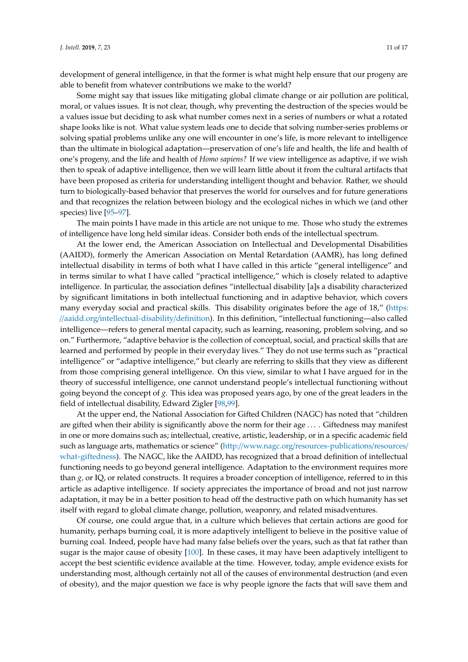development of general intelligence, in that the former is what might help ensure that our progeny are able to benefit from whatever contributions we make to the world?

Some might say that issues like mitigating global climate change or air pollution are political, moral, or values issues. It is not clear, though, why preventing the destruction of the species would be a values issue but deciding to ask what number comes next in a series of numbers or what a rotated shape looks like is not. What value system leads one to decide that solving number-series problems or solving spatial problems unlike any one will encounter in one's life, is more relevant to intelligence than the ultimate in biological adaptation—preservation of one's life and health, the life and health of one's progeny, and the life and health of *Homo sapiens?* If we view intelligence as adaptive, if we wish then to speak of adaptive intelligence, then we will learn little about it from the cultural artifacts that have been proposed as criteria for understanding intelligent thought and behavior. Rather, we should turn to biologically-based behavior that preserves the world for ourselves and for future generations and that recognizes the relation between biology and the ecological niches in which we (and other species) live [\[95–](#page-15-13)[97\]](#page-15-14).

The main points I have made in this article are not unique to me. Those who study the extremes of intelligence have long held similar ideas. Consider both ends of the intellectual spectrum.

At the lower end, the American Association on Intellectual and Developmental Disabilities (AAIDD), formerly the American Association on Mental Retardation (AAMR), has long defined intellectual disability in terms of both what I have called in this article "general intelligence" and in terms similar to what I have called "practical intelligence," which is closely related to adaptive intelligence. In particular, the association defines "intellectual disability [a]s a disability characterized by significant limitations in both intellectual functioning and in adaptive behavior, which covers many everyday social and practical skills. This disability originates before the age of 18," [\(https:](https://aaidd.org/intellectual-disability/definition) //aaidd.org/[intellectual-disability](https://aaidd.org/intellectual-disability/definition)/definition). In this definition, "intellectual functioning—also called intelligence—refers to general mental capacity, such as learning, reasoning, problem solving, and so on." Furthermore, "adaptive behavior is the collection of conceptual, social, and practical skills that are learned and performed by people in their everyday lives." They do not use terms such as "practical intelligence" or "adaptive intelligence," but clearly are referring to skills that they view as different from those comprising general intelligence. On this view, similar to what I have argued for in the theory of successful intelligence, one cannot understand people's intellectual functioning without going beyond the concept of *g.* This idea was proposed years ago, by one of the great leaders in the field of intellectual disability, Edward Zigler [\[98,](#page-15-15)[99\]](#page-15-16).

At the upper end, the National Association for Gifted Children (NAGC) has noted that "children are gifted when their ability is significantly above the norm for their age . . . . Giftedness may manifest in one or more domains such as; intellectual, creative, artistic, leadership, or in a specific academic field such as language arts, mathematics or science" (http://www.nagc.org/[resources-publications](http://www.nagc.org/resources-publications/resources/what-giftedness)/resources/ [what-giftedness\)](http://www.nagc.org/resources-publications/resources/what-giftedness). The NAGC, like the AAIDD, has recognized that a broad definition of intellectual functioning needs to go beyond general intelligence. Adaptation to the environment requires more than *g,* or IQ, or related constructs. It requires a broader conception of intelligence, referred to in this article as adaptive intelligence. If society appreciates the importance of broad and not just narrow adaptation, it may be in a better position to head off the destructive path on which humanity has set itself with regard to global climate change, pollution, weaponry, and related misadventures.

Of course, one could argue that, in a culture which believes that certain actions are good for humanity, perhaps burning coal, it is more adaptively intelligent to believe in the positive value of burning coal. Indeed, people have had many false beliefs over the years, such as that fat rather than sugar is the major cause of obesity [\[100\]](#page-15-17). In these cases, it may have been adaptively intelligent to accept the best scientific evidence available at the time. However, today, ample evidence exists for understanding most, although certainly not all of the causes of environmental destruction (and even of obesity), and the major question we face is why people ignore the facts that will save them and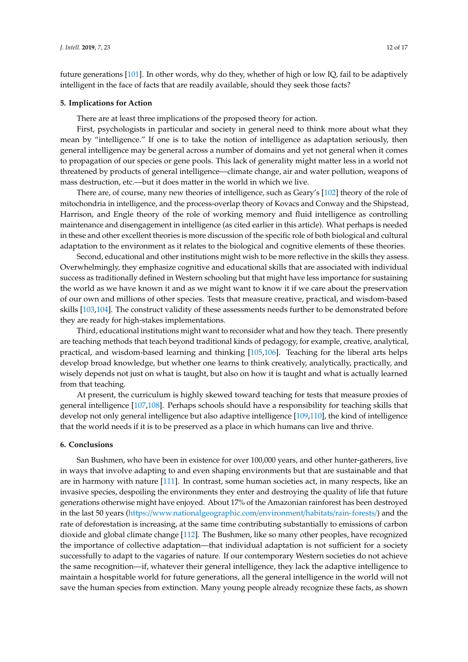future generations [\[101\]](#page-15-18). In other words, why do they, whether of high or low IQ, fail to be adaptively intelligent in the face of facts that are readily available, should they seek those facts?

#### **5. Implications for Action**

There are at least three implications of the proposed theory for action.

First, psychologists in particular and society in general need to think more about what they mean by "intelligence." If one is to take the notion of intelligence as adaptation seriously, then general intelligence may be general across a number of domains and yet not general when it comes to propagation of our species or gene pools. This lack of generality might matter less in a world not threatened by products of general intelligence—climate change, air and water pollution, weapons of mass destruction, etc.—but it does matter in the world in which we live.

There are, of course, many new theories of intelligence, such as Geary's [\[102\]](#page-15-19) theory of the role of mitochondria in intelligence, and the process-overlap theory of Kovacs and Conway and the Shipstead, Harrison, and Engle theory of the role of working memory and fluid intelligence as controlling maintenance and disengagement in intelligence (as cited earlier in this article). What perhaps is needed in these and other excellent theories is more discussion of the specific role of both biological and cultural adaptation to the environment as it relates to the biological and cognitive elements of these theories.

Second, educational and other institutions might wish to be more reflective in the skills they assess. Overwhelmingly, they emphasize cognitive and educational skills that are associated with individual success as traditionally defined in Western schooling but that might have less importance for sustaining the world as we have known it and as we might want to know it if we care about the preservation of our own and millions of other species. Tests that measure creative, practical, and wisdom-based skills [\[103,](#page-15-20)[104\]](#page-15-21). The construct validity of these assessments needs further to be demonstrated before they are ready for high-stakes implementations.

Third, educational institutions might want to reconsider what and how they teach. There presently are teaching methods that teach beyond traditional kinds of pedagogy, for example, creative, analytical, practical, and wisdom-based learning and thinking [\[105,](#page-15-22)[106\]](#page-15-23). Teaching for the liberal arts helps develop broad knowledge, but whether one learns to think creatively, analytically, practically, and wisely depends not just on what is taught, but also on how it is taught and what is actually learned from that teaching.

At present, the curriculum is highly skewed toward teaching for tests that measure proxies of general intelligence [\[107,](#page-15-24)[108\]](#page-16-0). Perhaps schools should have a responsibility for teaching skills that develop not only general intelligence but also adaptive intelligence [\[109](#page-16-1)[,110\]](#page-16-2), the kind of intelligence that the world needs if it is to be preserved as a place in which humans can live and thrive.

#### **6. Conclusions**

San Bushmen, who have been in existence for over 100,000 years, and other hunter-gatherers, live in ways that involve adapting to and even shaping environments but that are sustainable and that are in harmony with nature [\[111\]](#page-16-3). In contrast, some human societies act, in many respects, like an invasive species, despoiling the environments they enter and destroying the quality of life that future generations otherwise might have enjoyed. About 17% of the Amazonian rainforest has been destroyed in the last 50 years (https://[www.nationalgeographic.com](https://www.nationalgeographic.com/environment/habitats/rain-forests/)/environment/habitats/rain-forests/) and the rate of deforestation is increasing, at the same time contributing substantially to emissions of carbon dioxide and global climate change [\[112\]](#page-16-4). The Bushmen, like so many other peoples, have recognized the importance of collective adaptation—that individual adaptation is not sufficient for a society successfully to adapt to the vagaries of nature. If our contemporary Western societies do not achieve the same recognition—if, whatever their general intelligence, they lack the adaptive intelligence to maintain a hospitable world for future generations, all the general intelligence in the world will not save the human species from extinction. Many young people already recognize these facts, as shown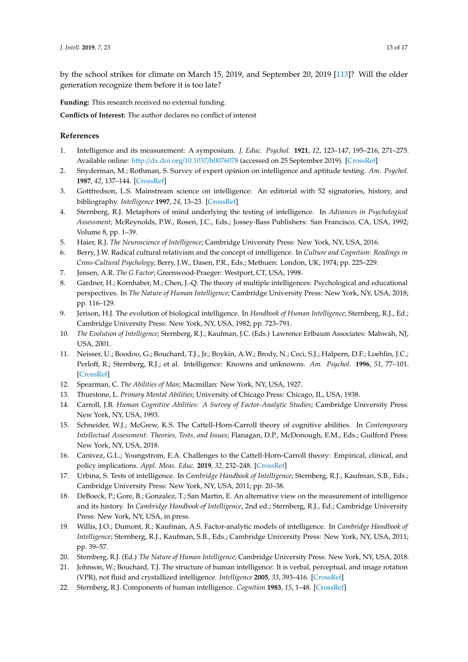by the school strikes for climate on March 15, 2019, and September 20, 2019 [\[113\]](#page-16-5)? Will the older generation recognize them before it is too late?

**Funding:** This research received no external funding.

**Conflicts of Interest:** The author declares no conflict of interest

# **References**

- <span id="page-12-0"></span>1. Intelligence and its measurement: A symposium. *J. Educ. Psychol.* **1921**, *12*, 123–147, 195–216, 271–275. Available online: http://[dx.doi.org](http://dx.doi.org/10.1037/h0076078)/10.1037/h0076078 (accessed on 25 September 2019). [\[CrossRef\]](http://dx.doi.org/10.1037/h0076078)
- 2. Snyderman, M.; Rothman, S. Survey of expert opinion on intelligence and aptitude testing. *Am. Psychol.* **1987**, *42*, 137–144. [\[CrossRef\]](http://dx.doi.org/10.1037/0003-066X.42.2.137)
- <span id="page-12-9"></span>3. Gottfredson, L.S. Mainstream science on intelligence: An editorial with 52 signatories, history, and bibliography. *Intelligence* **1997**, *24*, 13–23. [\[CrossRef\]](http://dx.doi.org/10.1016/S0160-2896(97)90011-8)
- <span id="page-12-1"></span>4. Sternberg, R.J. Metaphors of mind underlying the testing of intelligence. In *Advances in Psychological Assessment*; McReynolds, P.W., Rosen, J.C., Eds.; Jossey-Bass Publishers: San Francisco, CA, USA, 1992; Volume 8, pp. 1–39.
- <span id="page-12-2"></span>5. Haier, R.J. *The Neuroscience of Intelligence*; Cambridge University Press: New York, NY, USA, 2016.
- <span id="page-12-3"></span>6. Berry, J.W. Radical cultural relativism and the concept of intelligence. In *Culture and Cognition: Readings in Cross-Cultural Psychology*; Berry, J.W., Dasen, P.R., Eds.; Methuen: London, UK, 1974; pp. 225–229.
- <span id="page-12-4"></span>7. Jensen, A.R. *The G Factor*; Greenwood-Praeger: Westport, CT, USA, 1998.
- <span id="page-12-5"></span>8. Gardner, H.; Kornhaber, M.; Chen, J.-Q. The theory of multiple intelligences: Psychological and educational perspectives. In *The Nature of Human Intelligence*; Cambridge University Press: New York, NY, USA, 2018; pp. 116–129.
- <span id="page-12-6"></span>9. Jerison, H.J. The evolution of biological intelligence. In *Handbook of Human Intelligence*; Sternberg, R.J., Ed.; Cambridge University Press: New York, NY, USA, 1982; pp. 723–791.
- <span id="page-12-7"></span>10. *The Evolution of Intelligence*; Sternberg, R.J.; Kaufman, J.C. (Eds.) Lawrence Erlbaum Associates: Mahwah, NJ, USA, 2001.
- <span id="page-12-8"></span>11. Neisser, U.; Boodoo, G.; Bouchard, T.J., Jr.; Boykin, A.W.; Brody, N.; Ceci, S.J.; Halpern, D.F.; Loehlin, J.C.; Perloff, R.; Sternberg, R.J.; et al. Intelligence: Knowns and unknowns. *Am. Psychol.* **1996**, *51*, 77–101. [\[CrossRef\]](http://dx.doi.org/10.1037/0003-066X.51.2.77)
- <span id="page-12-10"></span>12. Spearman, C. *The Abilities of Man*; Macmillan: New York, NY, USA, 1927.
- <span id="page-12-11"></span>13. Thurstone, L. *Primary Mental Abilities*; University of Chicago Press: Chicago, IL, USA, 1938.
- <span id="page-12-12"></span>14. Carroll, J.B. *Human Cognitive Abilities: A Survey of Factor-Analytic Studies*; Cambridge University Press: New York, NY, USA, 1993.
- <span id="page-12-13"></span>15. Schneider, W.J.; McGrew, K.S. The Cattell-Horn-Carroll theory of cognitive abilities. In *Contemporary Intellectual Assessment: Theories, Tests, and Issues*; Flanagan, D.P., McDonough, E.M., Eds.; Guilford Press: New York, NY, USA, 2018.
- <span id="page-12-14"></span>16. Canivez, G.L.; Youngstrom, E.A. Challenges to the Cattell-Horn-Carroll theory: Empirical, clinical, and policy implications. *Appl. Meas. Educ.* **2019**, *32*, 232–248. [\[CrossRef\]](http://dx.doi.org/10.1080/08957347.2019.1619562)
- <span id="page-12-15"></span>17. Urbina, S. Tests of intelligence. In *Cambridge Handbook of Intelligence*; Sternberg, R.J., Kaufman, S.B., Eds.; Cambridge University Press: New York, NY, USA, 2011; pp. 20–38.
- <span id="page-12-16"></span>18. DeBoeck, P.; Gore, B.; Gonzalez, T.; San Martin, E. An alternative view on the measurement of intelligence and its history. In *Cambridge Handbook of Intelligence*, 2nd ed.; Sternberg, R.J., Ed.; Cambridge University Press: New York, NY, USA, in press.
- <span id="page-12-17"></span>19. Willis, J.O.; Dumont, R.; Kaufman, A.S. Factor-analytic models of intelligence. In *Cambridge Handbook of Intelligence*; Sternberg, R.J., Kaufman, S.B., Eds.; Cambridge University Press: New York, NY, USA, 2011; pp. 39–57.
- <span id="page-12-18"></span>20. Sternberg, R.J. (Ed.) *The Nature of Human Intelligence*; Cambridge University Press: New York, NY, USA, 2018.
- <span id="page-12-19"></span>21. Johnson, W.; Bouchard, T.J. The structure of human intelligence: It is verbal, perceptual, and image rotation (VPR), not fluid and crystallized intelligence. *Intelligence* **2005**, *33*, 393–416. [\[CrossRef\]](http://dx.doi.org/10.1016/j.intell.2004.12.002)
- <span id="page-12-20"></span>22. Sternberg, R.J. Components of human intelligence. *Cognition* **1983**, *15*, 1–48. [\[CrossRef\]](http://dx.doi.org/10.1016/0010-0277(83)90032-X)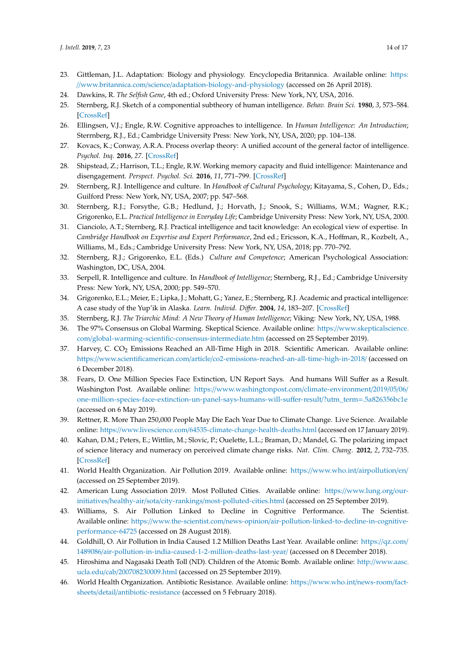- <span id="page-13-0"></span>23. Gittleman, J.L. Adaptation: Biology and physiology. Encyclopedia Britannica. Available online: [https:](https://www.britannica.com/science/adaptation-biology-and-physiology) //www.britannica.com/science/[adaptation-biology-and-physiology](https://www.britannica.com/science/adaptation-biology-and-physiology) (accessed on 26 April 2018).
- <span id="page-13-1"></span>24. Dawkins, R. *The Selfish Gene*, 4th ed.; Oxford University Press: New York, NY, USA, 2016.
- <span id="page-13-2"></span>25. Sternberg, R.J. Sketch of a componential subtheory of human intelligence. *Behav. Brain Sci.* **1980**, *3*, 573–584. [\[CrossRef\]](http://dx.doi.org/10.1017/S0140525X00006932)
- <span id="page-13-3"></span>26. Ellingsen, V.J.; Engle, R.W. Cognitive approaches to intelligence. In *Human Intelligence: An Introduction*; Sterrnberg, R.J., Ed.; Cambridge University Press: New York, NY, USA, 2020; pp. 104–138.
- 27. Kovacs, K.; Conway, A.R.A. Process overlap theory: A unified account of the general factor of intelligence. *Psychol. Inq.* **2016**, *27*. [\[CrossRef\]](http://dx.doi.org/10.1080/1047840X.2016.1153946)
- <span id="page-13-4"></span>28. Shipstead, Z.; Harrison, T.L.; Engle, R.W. Working memory capacity and fluid intelligence: Maintenance and disengagement. *Perspect. Psychol. Sci.* **2016**, *11*, 771–799. [\[CrossRef\]](http://dx.doi.org/10.1177/1745691616650647)
- <span id="page-13-5"></span>29. Sternberg, R.J. Intelligence and culture. In *Handbook of Cultural Psychology*; Kitayama, S., Cohen, D., Eds.; Guilford Press: New York, NY, USA, 2007; pp. 547–568.
- <span id="page-13-6"></span>30. Sternberg, R.J.; Forsythe, G.B.; Hedlund, J.; Horvath, J.; Snook, S.; Williams, W.M.; Wagner, R.K.; Grigorenko, E.L. *Practical Intelligence in Everyday Life*; Cambridge University Press: New York, NY, USA, 2000.
- <span id="page-13-7"></span>31. Cianciolo, A.T.; Sternberg, R.J. Practical intelligence and tacit knowledge: An ecological view of expertise. In *Cambridge Handbook on Expertise and Expert Performance*, 2nd ed.; Ericsson, K.A., Hoffman, R., Kozbelt, A., Williams, M., Eds.; Cambridge University Press: New York, NY, USA, 2018; pp. 770–792.
- <span id="page-13-8"></span>32. Sternberg, R.J.; Grigorenko, E.L. (Eds.) *Culture and Competence*; American Psychological Association: Washington, DC, USA, 2004.
- <span id="page-13-9"></span>33. Serpell, R. Intelligence and culture. In *Handbook of Intelligence*; Sternberg, R.J., Ed.; Cambridge University Press: New York, NY, USA, 2000; pp. 549–570.
- <span id="page-13-10"></span>34. Grigorenko, E.L.; Meier, E.; Lipka, J.; Mohatt, G.; Yanez, E.; Sternberg, R.J. Academic and practical intelligence: A case study of the Yup'ik in Alaska. *Learn. Individ. Di*ff*er.* **2004**, *14*, 183–207. [\[CrossRef\]](http://dx.doi.org/10.1016/j.lindif.2004.02.002)
- <span id="page-13-11"></span>35. Sternberg, R.J. *The Triarchic Mind: A New Theory of Human Intelligence*; Viking: New York, NY, USA, 1988.
- <span id="page-13-12"></span>36. The 97% Consensus on Global Warming. Skeptical Science. Available online: https://[www.skepticalscience.](https://www.skepticalscience.com/global-warming-scientific-consensus-intermediate.htm) com/[global-warming-scientific-consensus-intermediate.htm](https://www.skepticalscience.com/global-warming-scientific-consensus-intermediate.htm) (accessed on 25 September 2019).
- <span id="page-13-13"></span>37. Harvey, C. CO<sub>2</sub> Emissions Reached an All-Time High in 2018. Scientific American. Available online: https://www.scientificamerican.com/article/[co2-emissions-reached-an-all-time-high-in-2018](https://www.scientificamerican.com/article/co2-emissions-reached-an-all-time-high-in-2018/)/ (accessed on 6 December 2018).
- <span id="page-13-14"></span>38. Fears, D. One Million Species Face Extinction, UN Report Says. And humans Will Suffer as a Result. Washington Post. Available online: https://[www.washingtonpost.com](https://www.washingtonpost.com/climate-environment/2019/05/06/one-million-species-face-extinction-un-panel-says-humans-will-suffer-result/?utm_term=.5a826356bc1e)/climate-environment/2019/05/06/ [one-million-species-face-extinction-un-panel-says-humans-will-su](https://www.washingtonpost.com/climate-environment/2019/05/06/one-million-species-face-extinction-un-panel-says-humans-will-suffer-result/?utm_term=.5a826356bc1e)ffer-result/?utm\_term=.5a826356bc1e (accessed on 6 May 2019).
- <span id="page-13-15"></span>39. Rettner, R. More Than 250,000 People May Die Each Year Due to Climate Change. Live Science. Available online: https://www.livescience.com/[64535-climate-change-health-deaths.html](https://www.livescience.com/64535-climate-change-health-deaths.html) (accessed on 17 January 2019).
- <span id="page-13-16"></span>40. Kahan, D.M.; Peters, E.; Wittlin, M.; Slovic, P.; Ouelette, L.L.; Braman, D.; Mandel, G. The polarizing impact of science literacy and numeracy on perceived climate change risks. *Nat. Clim. Chang.* **2012**, *2*, 732–735. [\[CrossRef\]](http://dx.doi.org/10.1038/nclimate1547)
- <span id="page-13-17"></span>41. World Health Organization. Air Pollution 2019. Available online: https://[www.who.int](https://www.who.int/airpollution/en/)/airpollution/en/ (accessed on 25 September 2019).
- <span id="page-13-18"></span>42. American Lung Association 2019. Most Polluted Cities. Available online: https://[www.lung.org](https://www.lung.org/our-initiatives/healthy-air/sota/city-rankings/most-polluted-cities.html)/ourinitiatives/healthy-air/sota/city-rankings/[most-polluted-cities.html](https://www.lung.org/our-initiatives/healthy-air/sota/city-rankings/most-polluted-cities.html) (accessed on 25 September 2019).
- <span id="page-13-19"></span>43. Williams, S. Air Pollution Linked to Decline in Cognitive Performance. The Scientist. Available online: https://www.the-scientist.com/news-opinion/[air-pollution-linked-to-decline-in-cognitive](https://www.the-scientist.com/news-opinion/air-pollution-linked-to-decline-in-cognitive-performance-64725)[performance-64725](https://www.the-scientist.com/news-opinion/air-pollution-linked-to-decline-in-cognitive-performance-64725) (accessed on 28 August 2018).
- <span id="page-13-20"></span>44. Goldhill, O. Air Pollution in India Caused 1.2 Million Deaths Last Year. Available online: https://[qz.com](https://qz.com/1489086/air-pollution-in-india-caused-1-2-million-deaths-last-year/)/ 1489086/[air-pollution-in-india-caused-1-2-million-deaths-last-year](https://qz.com/1489086/air-pollution-in-india-caused-1-2-million-deaths-last-year/)/ (accessed on 8 December 2018).
- <span id="page-13-21"></span>45. Hiroshima and Nagasaki Death Toll (ND). Children of the Atomic Bomb. Available online: http://[www.aasc.](http://www.aasc.ucla.edu/cab/200708230009.html) ucla.edu/cab/[200708230009.html](http://www.aasc.ucla.edu/cab/200708230009.html) (accessed on 25 September 2019).
- <span id="page-13-22"></span>46. World Health Organization. Antibiotic Resistance. Available online: https://[www.who.int](https://www.who.int/news-room/fact-sheets/detail/antibiotic-resistance)/news-room/factsheets/detail/[antibiotic-resistance](https://www.who.int/news-room/fact-sheets/detail/antibiotic-resistance) (accessed on 5 February 2018).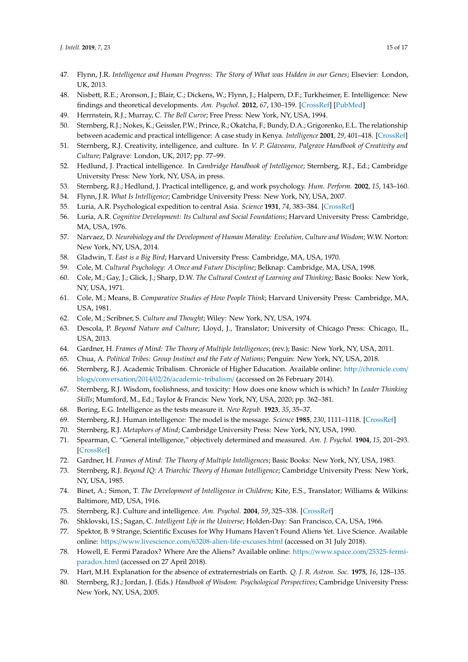- <span id="page-14-0"></span>47. Flynn, J.R. *Intelligence and Human Progress: The Story of What was Hidden in our Genes*; Elsevier: London, UK, 2013.
- <span id="page-14-1"></span>48. Nisbett, R.E.; Aronson, J.; Blair, C.; Dickens, W.; Flynn, J.; Halpern, D.F.; Turkheimer, E. Intelligence: New findings and theoretical developments. *Am. Psychol.* **2012**, *67*, 130–159. [\[CrossRef\]](http://dx.doi.org/10.1037/a0026699) [\[PubMed\]](http://www.ncbi.nlm.nih.gov/pubmed/22233090)
- <span id="page-14-2"></span>49. Herrnstein, R.J.; Murray, C. *The Bell Curve*; Free Press: New York, NY, USA, 1994.
- <span id="page-14-3"></span>50. Sternberg, R.J.; Nokes, K.; Geissler, P.W.; Prince, R.; Okatcha, F.; Bundy, D.A.; Grigorenko, E.L. The relationship between academic and practical intelligence: A case study in Kenya. *Intelligence* **2001**, *29*, 401–418. [\[CrossRef\]](http://dx.doi.org/10.1016/S0160-2896(01)00065-4)
- <span id="page-14-4"></span>51. Sternberg, R.J. Creativity, intelligence, and culture. In *V. P. Glaveanu, Palgrave Handbook of Creativity and Culture*; Palgrave: London, UK, 2017; pp. 77–99.
- <span id="page-14-5"></span>52. Hedlund, J. Practical intelligence. In *Cambridge Handbook of Intelligence*; Sternberg, R.J., Ed.; Cambridge University Press: New York, NY, USA, in press.
- <span id="page-14-6"></span>53. Sternberg, R.J.; Hedlund, J. Practical intelligence, g, and work psychology. *Hum. Perform.* **2002**, *15*, 143–160.
- <span id="page-14-7"></span>54. Flynn, J.R. *What Is Intelligence*; Cambridge University Press: New York, NY, USA, 2007.
- <span id="page-14-8"></span>55. Luria, A.R. Psychological expedition to central Asia. *Science* **1931**, *74*, 383–384. [\[CrossRef\]](http://dx.doi.org/10.1080/08856559.1932.10534223)
- <span id="page-14-9"></span>56. Luria, A.R. *Cognitive Development: Its Cultural and Social Foundations*; Harvard University Press: Cambridge, MA, USA, 1976.
- <span id="page-14-10"></span>57. Narvaez, D. *Neurobiology and the Development of Human Morality: Evolution, Culture and Wisdom*; W.W. Norton: New York, NY, USA, 2014.
- <span id="page-14-11"></span>58. Gladwin, T. *East is a Big Bird*; Harvard University Press: Cambridge, MA, USA, 1970.
- <span id="page-14-12"></span>59. Cole, M. *Cultural Psychology: A Once and Future Discipline*; Belknap: Cambridge, MA, USA, 1998.
- 60. Cole, M.; Gay, J.; Glick, J.; Sharp, D.W. *The Cultural Context of Learning and Thinking*; Basic Books: New York, NY, USA, 1971.
- 61. Cole, M.; Means, B. *Comparative Studies of How People Think*; Harvard University Press: Cambridge, MA, USA, 1981.
- <span id="page-14-13"></span>62. Cole, M.; Scribner, S. *Culture and Thought*; Wiley: New York, NY, USA, 1974.
- <span id="page-14-14"></span>63. Descola, P. *Beyond Nature and Culture*; Lloyd, J., Translator; University of Chicago Press: Chicago, IL, USA, 2013.
- <span id="page-14-15"></span>64. Gardner, H. *Frames of Mind: The Theory of Multiple Intelligences*; (rev.); Basic: New York, NY, USA, 2011.
- <span id="page-14-17"></span><span id="page-14-16"></span>65. Chua, A. *Political Tribes: Group Instinct and the Fate of Nations*; Penguin: New York, NY, USA, 2018.
- 66. Sternberg, R.J. Academic Tribalism. Chronicle of Higher Education. Available online: http://[chronicle.com](http://chronicle.com/blogs/conversation/2014/02/26/academic-tribalism/)/ blogs/conversation/2014/02/26/[academic-tribalism](http://chronicle.com/blogs/conversation/2014/02/26/academic-tribalism/)/ (accessed on 26 February 2014).
- <span id="page-14-18"></span>67. Sternberg, R.J. Wisdom, foolishness, and toxicity: How does one know which is which? In *Leader Thinking Skills*; Mumford, M., Ed.; Taylor & Francis: New York, NY, USA, 2020; pp. 362–381.
- <span id="page-14-19"></span>68. Boring, E.G. Intelligence as the tests measure it. *New Repub.* **1923**, *35*, 35–37.
- <span id="page-14-20"></span>69. Sternberg, R.J. Human intelligence: The model is the message. *Science* **1985**, *230*, 1111–1118. [\[CrossRef\]](http://dx.doi.org/10.1126/science.230.4730.1111)
- <span id="page-14-21"></span>70. Sternberg, R.J. *Metaphors of Mind*; Cambridge University Press: New York, NY, USA, 1990.
- <span id="page-14-22"></span>71. Spearman, C. "General intelligence," objectively determined and measured. *Am. J. Psychol.* **1904**, *15*, 201–293. [\[CrossRef\]](http://dx.doi.org/10.2307/1412107)
- <span id="page-14-23"></span>72. Gardner, H. *Frames of Mind: The Theory of Multiple Intelligences*; Basic Books: New York, NY, USA, 1983.
- <span id="page-14-24"></span>73. Sternberg, R.J. *Beyond IQ: A Triarchic Theory of Human Intelligence*; Cambridge University Press: New York, NY, USA, 1985.
- <span id="page-14-25"></span>74. Binet, A.; Simon, T. *The Development of Intelligence in Children*; Kite, E.S., Translator; Williams & Wilkins: Baltimore, MD, USA, 1916.
- <span id="page-14-26"></span>75. Sternberg, R.J. Culture and intelligence. *Am. Psychol.* **2004**, *59*, 325–338. [\[CrossRef\]](http://dx.doi.org/10.1037/0003-066X.59.5.325)
- <span id="page-14-27"></span>76. Shklovski, I.S.; Sagan, C. *Intelligent Life in the Universe*; Holden-Day: San Francisco, CA, USA, 1966.
- <span id="page-14-28"></span>77. Spektor, B. 9 Strange, Scientific Excuses for Why Humans Haven't Found Aliens Yet. Live Science. Available online: https://www.livescience.com/[63208-alien-life-excuses.html](https://www.livescience.com/63208-alien-life-excuses.html) (accessed on 31 July 2018).
- <span id="page-14-29"></span>78. Howell, E. Fermi Paradox? Where Are the Aliens? Available online: https://[www.space.com](https://www.space.com/25325-fermi-paradox.html)/25325-fermi[paradox.html](https://www.space.com/25325-fermi-paradox.html) (accessed on 27 April 2018).
- <span id="page-14-30"></span>79. Hart, M.H. Explanation for the absence of extraterrestrials on Earth. *Q. J. R. Astron. Soc.* **1975**, *16*, 128–135.
- <span id="page-14-31"></span>80. Sternberg, R.J.; Jordan, J. (Eds.) *Handbook of Wisdom: Psychological Perspectives*; Cambridge University Press: New York, NY, USA, 2005.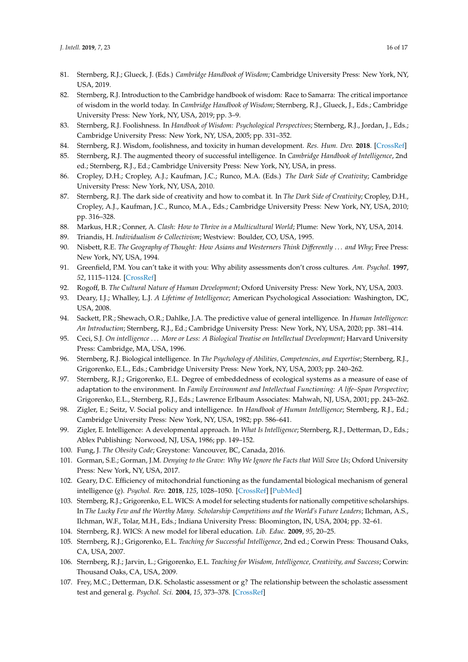- 81. Sternberg, R.J.; Glueck, J. (Eds.) *Cambridge Handbook of Wisdom*; Cambridge University Press: New York, NY, USA, 2019.
- <span id="page-15-0"></span>82. Sternberg, R.J. Introduction to the Cambridge handbook of wisdom: Race to Samarra: The critical importance of wisdom in the world today. In *Cambridge Handbook of Wisdom*; Sternberg, R.J., Glueck, J., Eds.; Cambridge University Press: New York, NY, USA, 2019; pp. 3–9.
- <span id="page-15-1"></span>83. Sternberg, R.J. Foolishness. In *Handbook of Wisdom: Psychological Perspectives*; Sternberg, R.J., Jordan, J., Eds.; Cambridge University Press: New York, NY, USA, 2005; pp. 331–352.
- <span id="page-15-2"></span>84. Sternberg, R.J. Wisdom, foolishness, and toxicity in human development. *Res. Hum. Dev.* **2018**. [\[CrossRef\]](http://dx.doi.org/10.1080/15427609.2018.1491216)
- <span id="page-15-3"></span>85. Sternberg, R.J. The augmented theory of successful intelligence. In *Cambridge Handbook of Intelligence*, 2nd ed.; Sternberg, R.J., Ed.; Cambridge University Press: New York, NY, USA, in press.
- <span id="page-15-4"></span>86. Cropley, D.H.; Cropley, A.J.; Kaufman, J.C.; Runco, M.A. (Eds.) *The Dark Side of Creativity*; Cambridge University Press: New York, NY, USA, 2010.
- <span id="page-15-5"></span>87. Sternberg, R.J. The dark side of creativity and how to combat it. In *The Dark Side of Creativity*; Cropley, D.H., Cropley, A.J., Kaufman, J.C., Runco, M.A., Eds.; Cambridge University Press: New York, NY, USA, 2010; pp. 316–328.
- <span id="page-15-6"></span>88. Markus, H.R.; Conner, A. *Clash: How to Thrive in a Multicultural World*; Plume: New York, NY, USA, 2014.
- <span id="page-15-7"></span>89. Triandis, H. *Individualism & Collectivism*; Westview: Boulder, CO, USA, 1995.
- <span id="page-15-8"></span>90. Nisbett, R.E. *The Geography of Thought: How Asians and Westerners Think Di*ff*erently* . . . *and Why*; Free Press: New York, NY, USA, 1994.
- <span id="page-15-9"></span>91. Greenfield, P.M. You can't take it with you: Why ability assessments don't cross cultures. *Am. Psychol.* **1997**, *52*, 1115–1124. [\[CrossRef\]](http://dx.doi.org/10.1037/0003-066X.52.10.1115)
- <span id="page-15-10"></span>92. Rogoff, B. *The Cultural Nature of Human Development*; Oxford University Press: New York, NY, USA, 2003.
- <span id="page-15-11"></span>93. Deary, I.J.; Whalley, L.J. *A Lifetime of Intelligence*; American Psychological Association: Washington, DC, USA, 2008.
- <span id="page-15-12"></span>94. Sackett, P.R.; Shewach, O.R.; Dahlke, J.A. The predictive value of general intelligence. In *Human Intelligence: An Introduction*; Sternberg, R.J., Ed.; Cambridge University Press: New York, NY, USA, 2020; pp. 381–414.
- <span id="page-15-13"></span>95. Ceci, S.J. *On intelligence* . . . *More or Less: A Biological Treatise on Intellectual Development*; Harvard University Press: Cambridge, MA, USA, 1996.
- 96. Sternberg, R.J. Biological intelligence. In *The Psychology of Abilities, Competencies, and Expertise*; Sternberg, R.J., Grigorenko, E.L., Eds.; Cambridge University Press: New York, NY, USA, 2003; pp. 240–262.
- <span id="page-15-14"></span>97. Sternberg, R.J.; Grigorenko, E.L. Degree of embeddedness of ecological systems as a measure of ease of adaptation to the environment. In *Family Environment and Intellectual Functioning: A life–Span Perspective*; Grigorenko, E.L., Sternberg, R.J., Eds.; Lawrence Erlbaum Associates: Mahwah, NJ, USA, 2001; pp. 243–262.
- <span id="page-15-15"></span>98. Zigler, E.; Seitz, V. Social policy and intelligence. In *Handbook of Human Intelligence*; Sternberg, R.J., Ed.; Cambridge University Press: New York, NY, USA, 1982; pp. 586–641.
- <span id="page-15-16"></span>99. Zigler, E. Intelligence: A developmental approach. In *What Is Intelligence*; Sternberg, R.J., Detterman, D., Eds.; Ablex Publishing: Norwood, NJ, USA, 1986; pp. 149–152.
- <span id="page-15-17"></span>100. Fung, J. *The Obesity Code*; Greystone: Vancouver, BC, Canada, 2016.
- <span id="page-15-18"></span>101. Gorman, S.E.; Gorman, J.M. *Denying to the Grave: Why We Ignore the Facts that Will Save Us*; Oxford University Press: New York, NY, USA, 2017.
- <span id="page-15-19"></span>102. Geary, D.C. Efficiency of mitochondrial functioning as the fundamental biological mechanism of general intelligence (*g*). *Psychol. Rev.* **2018**, *125*, 1028–1050. [\[CrossRef\]](http://dx.doi.org/10.1037/rev0000124) [\[PubMed\]](http://www.ncbi.nlm.nih.gov/pubmed/30211573)
- <span id="page-15-20"></span>103. Sternberg, R.J.; Grigorenko, E.L. WICS: A model for selecting students for nationally competitive scholarships. In *The Lucky Few and the Worthy Many. Scholarship Competitions and the World's Future Leaders*; Ilchman, A.S., Ilchman, W.F., Tolar, M.H., Eds.; Indiana University Press: Bloomington, IN, USA, 2004; pp. 32–61.
- <span id="page-15-21"></span>104. Sternberg, R.J. WICS: A new model for liberal education. *Lib. Educ.* **2009**, *95*, 20–25.
- <span id="page-15-22"></span>105. Sternberg, R.J.; Grigorenko, E.L. *Teaching for Successful Intelligence*, 2nd ed.; Corwin Press: Thousand Oaks, CA, USA, 2007.
- <span id="page-15-23"></span>106. Sternberg, R.J.; Jarvin, L.; Grigorenko, E.L. *Teaching for Wisdom, Intelligence, Creativity, and Success*; Corwin: Thousand Oaks, CA, USA, 2009.
- <span id="page-15-24"></span>107. Frey, M.C.; Detterman, D.K. Scholastic assessment or g? The relationship between the scholastic assessment test and general g. *Psychol. Sci.* **2004**, *15*, 373–378. [\[CrossRef\]](http://dx.doi.org/10.1111/j.0956-7976.2004.00687.x)